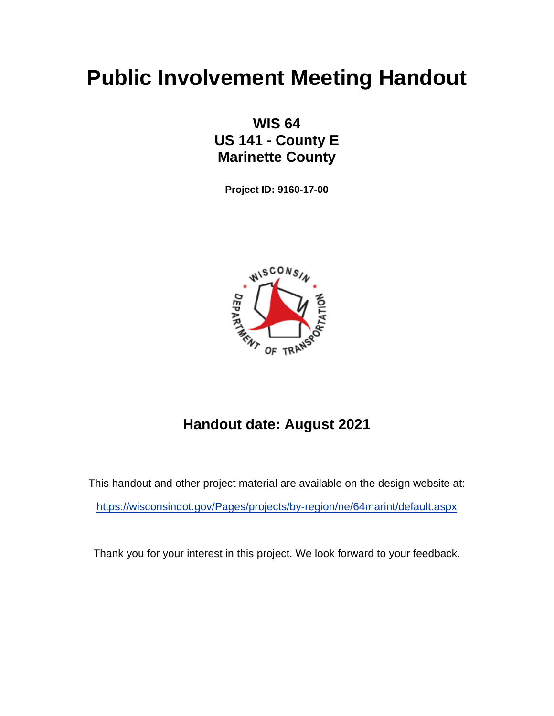# **Public Involvement Meeting Handout**

## **WIS 64 US 141 - County E Marinette County**

**Project ID: 9160-17-00**



# **Handout date: August 2021**

This handout and other project material are available on the design website at: <https://wisconsindot.gov/Pages/projects/by-region/ne/64marint/default.aspx>

Thank you for your interest in this project. We look forward to your feedback.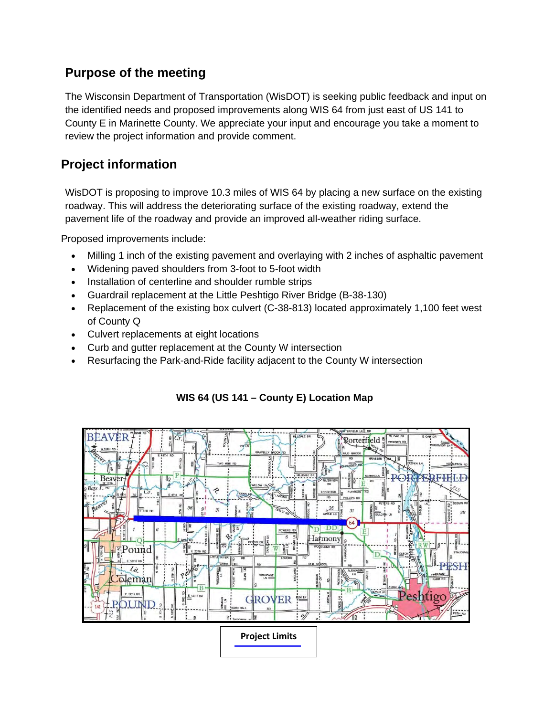### **Purpose of the meeting**

The Wisconsin Department of Transportation (WisDOT) is seeking public feedback and input on the identified needs and proposed improvements along WIS 64 from just east of US 141 to County E in Marinette County. We appreciate your input and encourage you take a moment to review the project information and provide comment.

#### **Project information**

WisDOT is proposing to improve 10.3 miles of WIS 64 by placing a new surface on the existing roadway. This will address the deteriorating surface of the existing roadway, extend the pavement life of the roadway and provide an improved all-weather riding surface.

Proposed improvements include:

- Milling 1 inch of the existing pavement and overlaying with 2 inches of asphaltic pavement
- Widening paved shoulders from 3-foot to 5-foot width
- Installation of centerline and shoulder rumble strips
- Guardrail replacement at the Little Peshtigo River Bridge (B-38-130)
- Replacement of the existing box culvert (C-38-813) located approximately 1,100 feet west of County Q
- Culvert replacements at eight locations
- Curb and gutter replacement at the County W intersection
- Resurfacing the Park-and-Ride facility adjacent to the County W intersection



#### **WIS 64 (US 141 – County E) Location Map**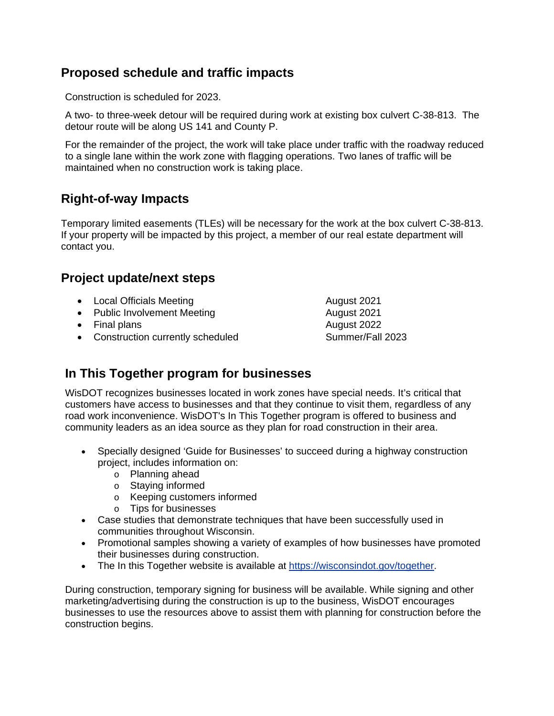#### **Proposed schedule and traffic impacts**

Construction is scheduled for 2023.

A two- to three-week detour will be required during work at existing box culvert C-38-813. The detour route will be along US 141 and County P.

For the remainder of the project, the work will take place under traffic with the roadway reduced to a single lane within the work zone with flagging operations. Two lanes of traffic will be maintained when no construction work is taking place.

#### **Right-of-way Impacts**

Temporary limited easements (TLEs) will be necessary for the work at the box culvert C-38-813. If your property will be impacted by this project, a member of our real estate department will contact you.

#### **Project update/next steps**

- Local Officials Meeting **August 2021**
- Public Involvement Meeting and August 2021
- Final plans **August 2022**
- Construction currently scheduled Summer/Fall 2023

## **In This Together program for businesses**

WisDOT recognizes businesses located in work zones have special needs. It's critical that customers have access to businesses and that they continue to visit them, regardless of any road work inconvenience. WisDOT's In This Together program is offered to business and community leaders as an idea source as they plan for road construction in their area.

- Specially designed 'Guide for Businesses' to succeed during a highway construction project, includes information on:
	- o Planning ahead
	- o Staying informed
	- o Keeping customers informed
	- o Tips for businesses
- Case studies that demonstrate techniques that have been successfully used in communities throughout Wisconsin.
- Promotional samples showing a variety of examples of how businesses have promoted their businesses during construction.
- The In this Together website is available at [https://wisconsindot.gov/together.](https://wisconsindot.gov/together)

During construction, temporary signing for business will be available. While signing and other marketing/advertising during the construction is up to the business, WisDOT encourages businesses to use the resources above to assist them with planning for construction before the construction begins.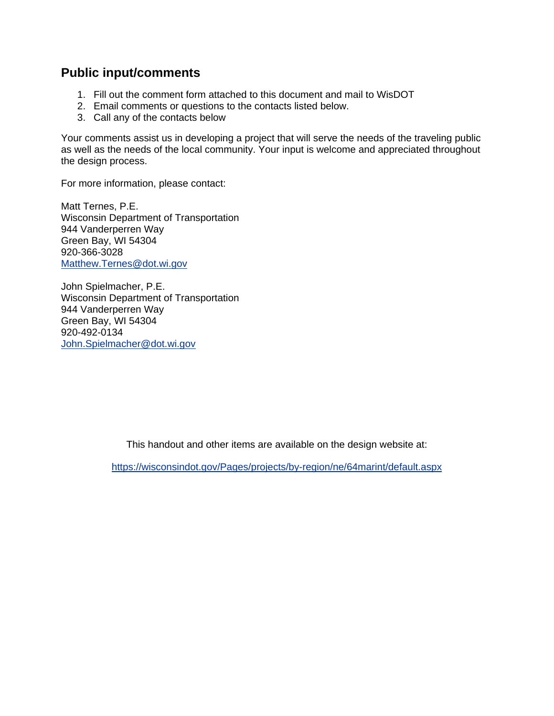#### **Public input/comments**

- 1. Fill out the comment form attached to this document and mail to WisDOT
- 2. Email comments or questions to the contacts listed below.
- 3. Call any of the contacts below

Your comments assist us in developing a project that will serve the needs of the traveling public as well as the needs of the local community. Your input is welcome and appreciated throughout the design process.

For more information, please contact:

Matt Ternes, P.E. Wisconsin Department of Transportation 944 Vanderperren Way Green Bay, WI 54304 920-366-3028 [Matthew.Ternes@dot.wi.gov](mailto:Matthew.Ternes@dot.wi.gov)

John Spielmacher, P.E. Wisconsin Department of Transportation 944 Vanderperren Way Green Bay, WI 54304 920-492-0134 [John.Spielmacher@dot.wi.gov](mailto:john.spielmacher@dot.wi.gov)

This handout and other items are available on the design website at:

<https://wisconsindot.gov/Pages/projects/by-region/ne/64marint/default.aspx>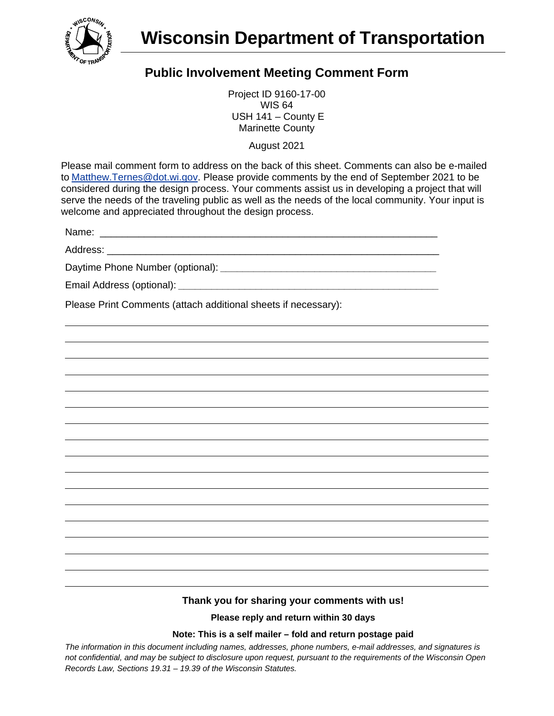

## **Public Involvement Meeting Comment Form**

Project ID 9160-17-00 WIS 64 USH 141 – County E Marinette County

August 2021

Please mail comment form to address on the back of this sheet. Comments can also be e-mailed to [Matthew.Ternes@dot.wi.gov.](mailto:Matthew.Ternes@dot.wi.gov) Please provide comments by the end of September 2021 to be considered during the design process. Your comments assist us in developing a project that will serve the needs of the traveling public as well as the needs of the local community. Your input is welcome and appreciated throughout the design process.

Name: \_\_\_\_\_\_\_\_\_\_\_\_\_\_\_\_\_\_\_\_\_\_\_\_\_\_\_\_\_\_\_\_\_\_\_\_\_\_\_\_\_\_\_\_\_\_\_\_\_\_\_\_\_\_\_\_\_\_\_\_\_

Address:

Daytime Phone Number (optional): *\_\_\_\_\_\_\_\_\_\_\_\_\_\_\_\_\_\_\_\_\_\_\_\_\_\_\_\_\_\_\_\_\_\_\_\_\_\_\_*

Email Address (optional): *\_\_\_\_\_\_\_\_\_\_\_\_\_\_\_\_\_\_\_\_\_\_\_\_\_\_\_\_\_\_\_\_\_\_\_\_\_\_\_\_\_\_\_\_\_\_\_*

Please Print Comments (attach additional sheets if necessary):

#### **Thank you for sharing your comments with us!**

**Please reply and return within 30 days**

#### **Note: This is a self mailer – fold and return postage paid**

*The information in this document including names, addresses, phone numbers, e-mail addresses, and signatures is not confidential, and may be subject to disclosure upon request, pursuant to the requirements of the Wisconsin Open Records Law, Sections 19.31 – 19.39 of the Wisconsin Statutes.*